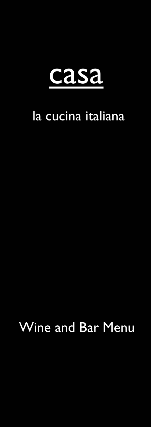

# la cucina italiana

Wine and Bar Menu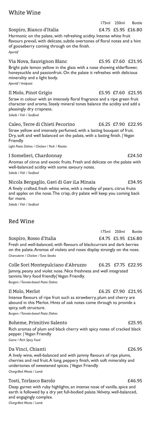# White Wine

Sospiro, Bianco d'Italia  $\qquad \qquad$  £4.75 £5.95 £16.80 Harmonic on the palate, with refreshing acidity. Intense white fruit flavours prevail, with delicate, subtle overtones of floral notes and a hint of gooseberry coming through on the finish. *Aperitif*

Via Nova, Sauvignon Blanc **E5.95** £7.60 £21.95 Bright pale lemon yellow in the glass with a nose showing elderflower, honeysuckle and passionfruit. On the palate it refreshes with delicious minerality and a light body.

*Aperitif / Antipasti*

#### Il Molo, Pinot Grigio £5.95 £7.60 £21.95 Straw in colour with an intensely floral fragrance and a ripe green fruit character and aroma. Steely mineral tones balance the acidity and add a pleasingly dry crispness. *Salads / Fish / Seafood*

Caleo, Terre di Chieti Pecorino £6.25 £7.90 £22.95 Straw yellow and intensely perfumed, with a lasting bouquet of fruit. Dry, soft and well balanced on the palate, with a lasting finish. | Vegan Friendly

*Light Pasta Dishes / Chicken / Pork / Risotto*

### I Somelieri, Chardonnay £24.50

Aromas of citrus and exotic fruits. Fresh and delicate on the palate with well-balanced acidity with some savoury notes. *Salads / Fish / Seafood*

Nicola Bergaglio, Gavi di Gav iLa Minaia £34.95 A finely crafted, fresh white wine, with a medley of pears, citrus fruits and apples on the nose. The crisp, dry palate will keep you coming back for more.

*Salads / Fish / Seafood*

# Red Wine

175ml 250ml Bottle Sospiro, Rosso d'Italia  $\qquad \qquad$  £4.75 £5.95 £16.80 Fresh and well-balanced, with flavours of blackcurrant and dark berries on the palate. Aromas of violets and roses display strongly on the nose. *Charcuterie / Chicken / Tuna Steaks*

Colle Sori Montepulciano d'Abruzzo £6.25 £7.75 £22.95 Jammy, peony and violet nose. Nice freshness and well integrated tannins. Very food friendly| Vegan Friendly. *Burgers / Tomato-based Pasta Dishes*

Il Molo, Merlot £6.25 £7.90 £21.95 Intense flavours of ripe fruit such as strawberry, plum and cherry are abound in this Merlot. Hints of oak notes come through to provide a spicy, soft structure.

*Burgers / Tomato-based Pasta Dishes*

#### Boheme, Primitivo Salento **1996 1996 1996 1996 1997 1998 1998 1998**

Rich aromas of plum and black cherry with spicy notes of cracked black pepper. | Vegan Friendly *Game / Rich Spicy Food*

### Da Vinci, Chianti £26.95

A lively wine, well-balanced and with jammy flavours of ripe plums, cherries and red fruit. A long, peppery finish, with soft minerality and undertones of sweetened spices. | Vegan Friendly *Chargrilled Meats / Lamb*

### Tosti, Torlasco Barolo  $£46.95$

Deep garnet with ruby highlights, an intense nose of vanilla, spice and earth is followed by a dry yet full-bodied palate. Velvety, well-balanced, and engagingly complex. *Chargrilled Meats / Lamb*

175ml 250ml Bottle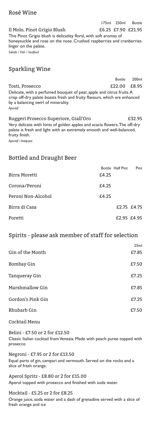# Rosé Wine

Il Molo, Pinot Grigio Blush £6.25 £7.90 £21.95 This Pinot Grigio blush is delicatley floral, with soft aromas of honeysuckle and rose on the nose. Crushed raspberries and cranberries linger on the palate. *Salads / Fish / Seafood*

175ml 250ml Bottle

# Sparkling Wine

Bottle 200ml Tosti, Prosecco **122.00** £8.95 Delicate, with a perfumed bouquet of pear, apple and citrus fruits. A crisp off-dry palate boasts fresh and fruity flavours, which are enhanced by a balancing swirl of minerality. *Aperitif*

Ruggeri Prosecco Superiore, Giall'Oro £32.95 Very delicate with hints of golden apples and acacia flowers. The off-dry palate is fresh and light with an extremely smooth and well-balanced, fruity finish.

*Aperitif / Antipasti*

## Bottled and Draught Beer

|                    |       | Bottle Half Pint | Pint |
|--------------------|-------|------------------|------|
| Birra Moretti      | £4.25 |                  |      |
| Corona/Peroni      | £4.25 |                  |      |
| Peroni Non-Alcohol | £4.25 |                  |      |
| Birra di Casa      |       | £2.75 £4.75      |      |
| Poretti            |       | £2.95 £4.95      |      |

# Spirits - please ask member of staff for selection

|                   | 25 <sub>ml</sub> |
|-------------------|------------------|
| Gin of the Month  | £7.85            |
| <b>Bombay Gin</b> | £7.50            |
| Tanqueray Gin     | £7.25            |
| Marshmallow Gin   | £7.85            |
| Gordon's Pink Gin | £7.25            |
| Rhubarb Gin       | £7.50            |

Cocktail Menu

Belini - £7.50 or 2 for £12.50 Classic Italian cocktail from Venezia. Made with peach puree topped with prosecco

Negroni - £7.95 or 2 for £13.50 Equal parts of gin, campari and vermouth. Served on the rocks and a slice of fresh orange.

Aperol Spritz - £8.80 or 2 for £15.00 Aperol topped with prosecco and finished with soda water.

Mocktail - £5.25 or 2 for £8.25 Orange juice, soda water and a dash of grenadine served with a slice of fresh orange and ice